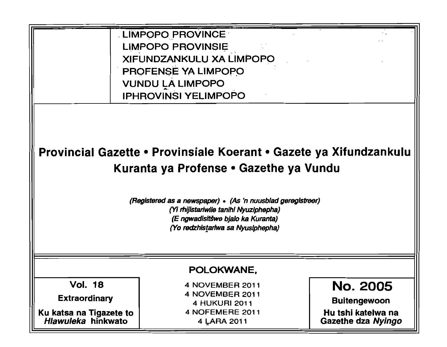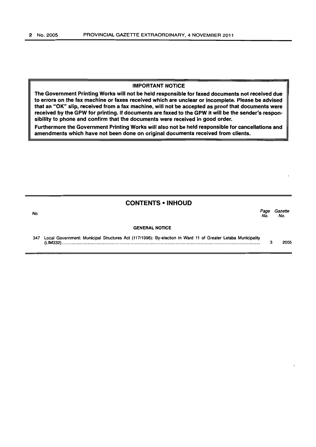#### IMPORTANT NOTICE

The Government Printing Works will not be held responsible for faxed documents not received due to errors on the fax machine or faxes received which are unclear or incomplete. Please be advised that an "OK" slip, received from a fax machine, will not be accepted as proof that documents were received by the GPW for printing. If documents are faxed to the GPW it will be the sender's responsibility to phone and confirm that the documents were received in good order.

Furthermore the Government Printing Works will also not be held responsible for cancellations and amendments which have not been done on original documents received from clients.

#### CONTENTS • INHOUD

Page Gazette<br>No. No.

No. Page Gazette

#### GENERAL NOTICE

347 Local Government: Municipal Structures Act (117/1998): By-election in Ward 11 of Greater Letaba Municipality (LIM332) ........................................................................................................................................................................ . 3 2005